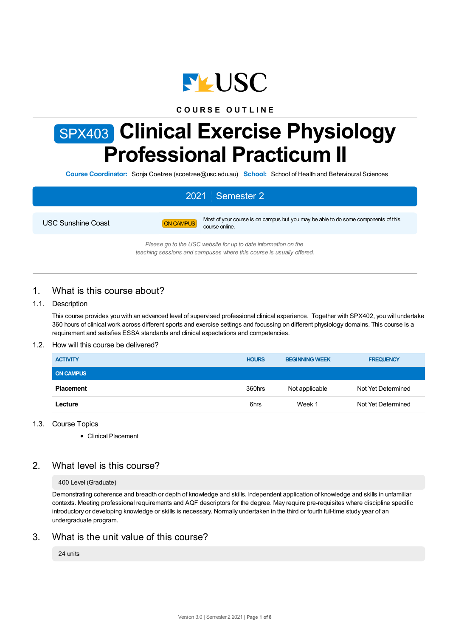

# **C O U R S E O U T L I N E**

# SPX403 **Clinical Exercise Physiology Professional Practicum II**

**Course Coordinator:** Sonja Coetzee (scoetzee@usc.edu.au) **School:** School of Health and Behavioural Sciences

# 2021 Semester 2



USC Sunshine Coast **ON CAMPUS** Most of your course is on campus but you may be able to do some components of this course online.

> *Please go to the USC website for up to date information on the teaching sessions and campuses where this course is usually offered.*

# 1. What is this course about?

## 1.1. Description

This course provides you with an advanced level of supervised professional clinical experience. Together with SPX402, you will undertake 360 hours of clinical work across different sports and exercise settings and focussing on different physiology domains. This course is a requirement and satisfies ESSA standards and clinical expectations and competencies.

## 1.2. How will this course be delivered?

| <b>ACTIVITY</b>  | <b>HOURS</b> | <b>BEGINNING WEEK</b> | <b>FREQUENCY</b>   |
|------------------|--------------|-----------------------|--------------------|
| <b>ON CAMPUS</b> |              |                       |                    |
| <b>Placement</b> | 360hrs       | Not applicable        | Not Yet Determined |
| Lecture          | 6hrs         | Week 1                | Not Yet Determined |

## 1.3. Course Topics

Clinical Placement

# 2. What level is this course?

## 400 Level (Graduate)

Demonstrating coherence and breadth or depth of knowledge and skills. Independent application of knowledge and skills in unfamiliar contexts. Meeting professional requirements and AQF descriptors for the degree. May require pre-requisites where discipline specific introductory or developing knowledge or skills is necessary. Normally undertaken in the third or fourth full-time study year of an undergraduate program.

# 3. What is the unit value of this course?

24 units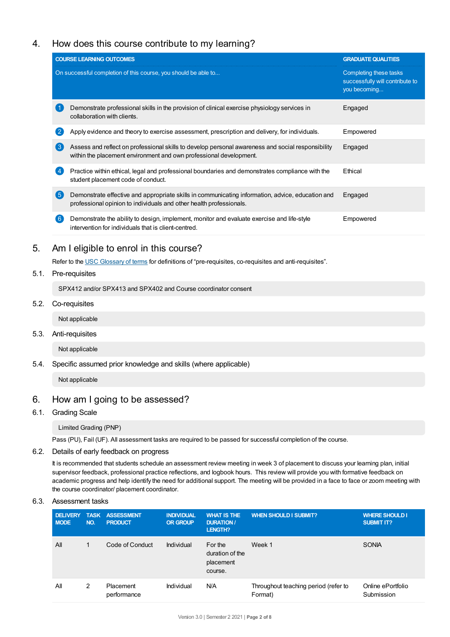# 4. How does this course contribute to my learning?

|                                                                | <b>COURSE LEARNING OUTCOMES</b>                                                                                                                                         | <b>GRADUATE QUALITIES</b>                                                 |
|----------------------------------------------------------------|-------------------------------------------------------------------------------------------------------------------------------------------------------------------------|---------------------------------------------------------------------------|
| On successful completion of this course, you should be able to |                                                                                                                                                                         | Completing these tasks<br>successfully will contribute to<br>you becoming |
|                                                                | Demonstrate professional skills in the provision of clinical exercise physiology services in<br>collaboration with clients.                                             | Engaged                                                                   |
|                                                                | Apply evidence and theory to exercise assessment, prescription and delivery, for individuals.                                                                           | Empowered                                                                 |
|                                                                | Assess and reflect on professional skills to develop personal awareness and social responsibility<br>within the placement environment and own professional development. | Engaged                                                                   |
|                                                                | Practice within ethical, legal and professional boundaries and demonstrates compliance with the<br>student placement code of conduct.                                   | Ethical                                                                   |
| -5                                                             | Demonstrate effective and appropriate skills in communicating information, advice, education and<br>professional opinion to individuals and other health professionals. | Engaged                                                                   |
|                                                                | Demonstrate the ability to design, implement, monitor and evaluate exercise and life-style<br>intervention for individuals that is client-centred.                      | Empowered                                                                 |

# 5. Am Ieligible to enrol in this course?

Refer to the USC [Glossary](https://www.usc.edu.au/about/policies-and-procedures/glossary-of-terms-for-policy-and-procedures) of terms for definitions of "pre-requisites, co-requisites and anti-requisites".

# 5.1. Pre-requisites

SPX412 and/or SPX413 and SPX402 and Course coordinator consent

5.2. Co-requisites

Not applicable

5.3. Anti-requisites

Not applicable

5.4. Specific assumed prior knowledge and skills (where applicable)

Not applicable

# 6. How am Igoing to be assessed?

6.1. Grading Scale

Limited Grading (PNP)

Pass (PU), Fail (UF). All assessment tasks are required to be passed for successful completion of the course.

## 6.2. Details of early feedback on progress

It is recommended that students schedule an assessment review meeting in week 3 of placement to discuss your learning plan, initial supervisor feedback, professional practice reflections, and logbook hours. This review will provide you with formative feedback on academic progress and help identify the need for additional support. The meeting will be provided in a face to face or zoom meeting with the course coordinator/ placement coordinator.

## 6.3. Assessment tasks

| <b>DELIVERY</b><br><b>MODE</b> | NO. | <b>TASK ASSESSMENT</b><br><b>PRODUCT</b> | <b>INDIVIDUAL</b><br><b>OR GROUP</b> | <b>WHAT IS THE</b><br><b>DURATION /</b><br>LENGTH? | <b>WHEN SHOULD I SUBMIT?</b>                    | <b>WHERE SHOULD I</b><br><b>SUBMIT IT?</b> |
|--------------------------------|-----|------------------------------------------|--------------------------------------|----------------------------------------------------|-------------------------------------------------|--------------------------------------------|
| All                            | 1   | Code of Conduct                          | Individual                           | For the<br>duration of the<br>placement<br>course. | Week 1                                          | <b>SONIA</b>                               |
| All                            | 2   | Placement<br>performance                 | Individual                           | N/A                                                | Throughout teaching period (refer to<br>Format) | Online ePortfolio<br>Submission            |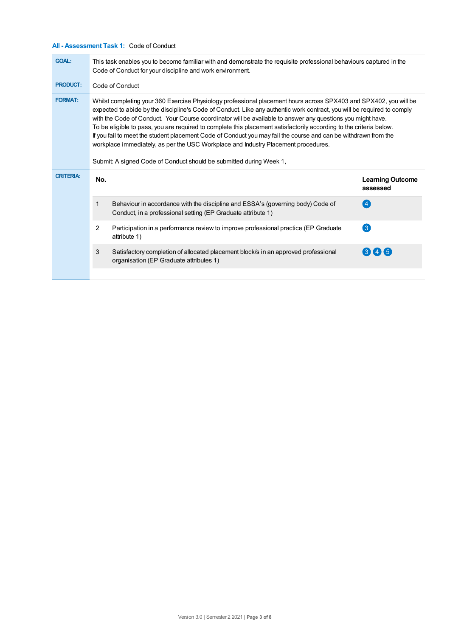# **All - Assessment Task 1:** Code of Conduct

| <b>GOAL:</b>     | This task enables you to become familiar with and demonstrate the requisite professional behaviours captured in the<br>Code of Conduct for your discipline and work environment.                                                                                                                                                                                                                                                                                                                                                                                                                                                                                                                                                                                   |                                                                                                                                                 |                                     |  |  |
|------------------|--------------------------------------------------------------------------------------------------------------------------------------------------------------------------------------------------------------------------------------------------------------------------------------------------------------------------------------------------------------------------------------------------------------------------------------------------------------------------------------------------------------------------------------------------------------------------------------------------------------------------------------------------------------------------------------------------------------------------------------------------------------------|-------------------------------------------------------------------------------------------------------------------------------------------------|-------------------------------------|--|--|
| <b>PRODUCT:</b>  | Code of Conduct                                                                                                                                                                                                                                                                                                                                                                                                                                                                                                                                                                                                                                                                                                                                                    |                                                                                                                                                 |                                     |  |  |
| <b>FORMAT:</b>   | Whilst completing your 360 Exercise Physiology professional placement hours across SPX403 and SPX402, you will be<br>expected to abide by the discipline's Code of Conduct. Like any authentic work contract, you will be required to comply<br>with the Code of Conduct. Your Course coordinator will be available to answer any questions you might have.<br>To be eligible to pass, you are required to complete this placement satisfactorily according to the criteria below.<br>If you fail to meet the student placement Code of Conduct you may fail the course and can be withdrawn from the<br>workplace immediately, as per the USC Workplace and Industry Placement procedures.<br>Submit: A signed Code of Conduct should be submitted during Week 1, |                                                                                                                                                 |                                     |  |  |
| <b>CRITERIA:</b> | No.                                                                                                                                                                                                                                                                                                                                                                                                                                                                                                                                                                                                                                                                                                                                                                |                                                                                                                                                 | <b>Learning Outcome</b><br>assessed |  |  |
|                  | 1                                                                                                                                                                                                                                                                                                                                                                                                                                                                                                                                                                                                                                                                                                                                                                  | Behaviour in accordance with the discipline and ESSA's (governing body) Code of<br>Conduct, in a professional setting (EP Graduate attribute 1) | $\left 4\right $                    |  |  |
|                  | 2                                                                                                                                                                                                                                                                                                                                                                                                                                                                                                                                                                                                                                                                                                                                                                  | Participation in a performance review to improve professional practice (EP Graduate<br>attribute 1)                                             | $\left( 3\right)$                   |  |  |
|                  | 3                                                                                                                                                                                                                                                                                                                                                                                                                                                                                                                                                                                                                                                                                                                                                                  | Satisfactory completion of allocated placement block/s in an approved professional<br>organisation (EP Graduate attributes 1)                   | (3) (4) (5)                         |  |  |
|                  |                                                                                                                                                                                                                                                                                                                                                                                                                                                                                                                                                                                                                                                                                                                                                                    |                                                                                                                                                 |                                     |  |  |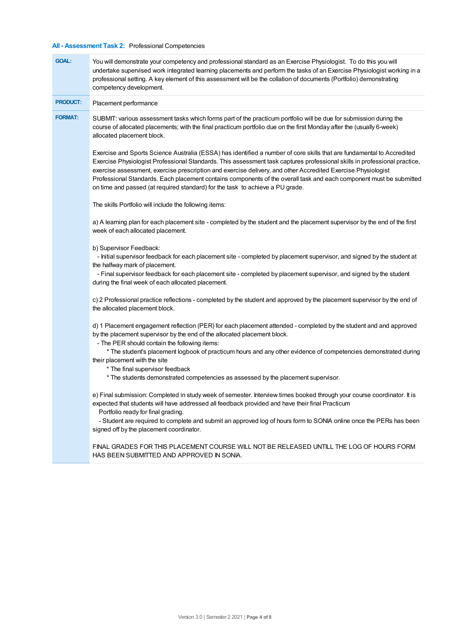# **All - Assessment Task 2:** Professional Competencies

| <b>GOAL:</b>    | You will demonstrate your competency and professional standard as an Exercise Physiologist. To do this you will<br>undertake supervised work integrated learning placements and perform the tasks of an Exercise Physiologist working in a<br>professional setting. A key element of this assessment will be the collation of documents (Portfolio) demonstrating<br>competency development.                                                                                                                                                                                |
|-----------------|-----------------------------------------------------------------------------------------------------------------------------------------------------------------------------------------------------------------------------------------------------------------------------------------------------------------------------------------------------------------------------------------------------------------------------------------------------------------------------------------------------------------------------------------------------------------------------|
| <b>PRODUCT:</b> | Placement performance                                                                                                                                                                                                                                                                                                                                                                                                                                                                                                                                                       |
| <b>FORMAT:</b>  | SUBMIT: various assessment tasks which forms part of the practicum portfolio will be due for submission during the<br>course of allocated placements; with the final practicum portfolio due on the first Monday after the (usually 6-week)<br>allocated placement block.                                                                                                                                                                                                                                                                                                   |
|                 | Exercise and Sports Science Australia (ESSA) has identified a number of core skills that are fundamental to Accredited<br>Exercise Physiologist Professional Standards. This assessment task captures professional skills in professional practice,<br>exercise assessment, exercise prescription and exercise delivery, and other Accredited Exercise Physiologist<br>Professional Standards. Each placement contains components of the overall task and each component must be submitted<br>on time and passed (at required standard) for the task to achieve a PU grade. |
|                 | The skills Portfolio will include the following items:                                                                                                                                                                                                                                                                                                                                                                                                                                                                                                                      |
|                 | a) A learning plan for each placement site - completed by the student and the placement supervisor by the end of the first<br>week of each allocated placement.                                                                                                                                                                                                                                                                                                                                                                                                             |
|                 | b) Supervisor Feedback:<br>- Initial supervisor feedback for each placement site - completed by placement supervisor, and signed by the student at<br>the halfway mark of placement.<br>- Final supervisor feedback for each placement site - completed by placement supervisor, and signed by the student<br>during the final week of each allocated placement.                                                                                                                                                                                                            |
|                 | c) 2 Professional practice reflections - completed by the student and approved by the placement supervisor by the end of<br>the allocated placement block.                                                                                                                                                                                                                                                                                                                                                                                                                  |
|                 | d) 1 Placement engagement reflection (PER) for each placement attended - completed by the student and and approved<br>by the placement supervisor by the end of the allocated placement block.<br>- The PER should contain the following items:                                                                                                                                                                                                                                                                                                                             |
|                 | * The student's placement logbook of practicum hours and any other evidence of competencies demonstrated during<br>their placement with the site<br>* The final supervisor feedback<br>* The students demonstrated competencies as assessed by the placement supervisor.                                                                                                                                                                                                                                                                                                    |
|                 | e) Final submission: Completed in study week of semester. Interview times booked through your course coordinator. It is<br>expected that students will have addressed all feedback provided and have their final Practicum<br>Portfolio ready for final grading.                                                                                                                                                                                                                                                                                                            |
|                 | - Student are required to complete and submit an approved log of hours form to SONIA online once the PERs has been<br>signed off by the placement coordinator.                                                                                                                                                                                                                                                                                                                                                                                                              |
|                 | FINAL GRADES FOR THIS PLACEMENT COURSE WILL NOT BE RELEASED UNTILL THE LOG OF HOURS FORM<br>HAS BEEN SUBMITTED AND APPROVED IN SONIA.                                                                                                                                                                                                                                                                                                                                                                                                                                       |
|                 |                                                                                                                                                                                                                                                                                                                                                                                                                                                                                                                                                                             |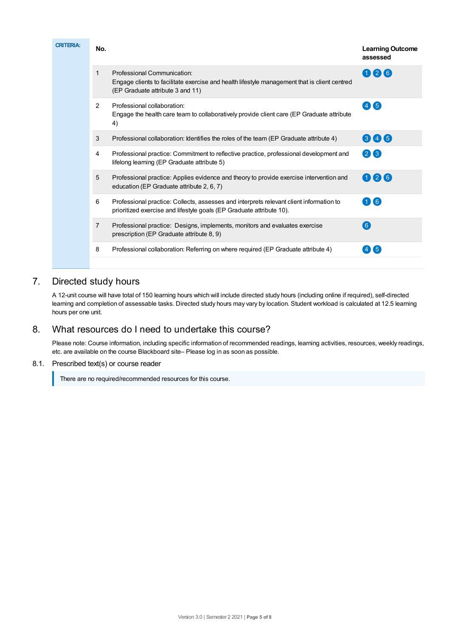| <b>CRITERIA:</b> | No.           |                                                                                                                                                                 | <b>Learning Outcome</b><br>assessed |
|------------------|---------------|-----------------------------------------------------------------------------------------------------------------------------------------------------------------|-------------------------------------|
|                  | 1             | Professional Communication:<br>Engage clients to facilitate exercise and health lifestyle management that is client centred<br>(EP Graduate attribute 3 and 11) | 026                                 |
|                  | $\mathcal{P}$ | Professional collaboration:<br>Engage the health care team to collaboratively provide client care (EP Graduate attribute<br>4)                                  | (4)(5)                              |
|                  | 3             | Professional collaboration: Identifies the roles of the team (EP Graduate attribute 4)                                                                          | 846                                 |
|                  | 4             | Professional practice: Commitment to reflective practice, professional development and<br>lifelong learning (EP Graduate attribute 5)                           | 28                                  |
|                  | 5             | Professional practice: Applies evidence and theory to provide exercise intervention and<br>education (EP Graduate attribute 2, 6, 7)                            | 026                                 |
|                  | 6             | Professional practice: Collects, assesses and interprets relevant client information to<br>prioritized exercise and lifestyle goals (EP Graduate attribute 10). | 16                                  |
|                  | 7             | Professional practice: Designs, implements, monitors and evaluates exercise<br>prescription (EP Graduate attribute 8, 9)                                        | [6]                                 |
|                  | 8             | Professional collaboration: Referring on where required (EP Graduate attribute 4)                                                                               | 〔5                                  |
|                  |               |                                                                                                                                                                 |                                     |

# 7. Directed study hours

A 12-unit course will have total of 150 learning hours which will include directed study hours (including online if required), self-directed learning and completion of assessable tasks. Directed study hours may vary by location. Student workload is calculated at 12.5 learning hours per one unit.

# 8. What resources do I need to undertake this course?

Please note: Course information, including specific information of recommended readings, learning activities, resources, weekly readings, etc. are available on the course Blackboard site– Please log in as soon as possible.

# 8.1. Prescribed text(s) or course reader

There are no required/recommended resources for this course.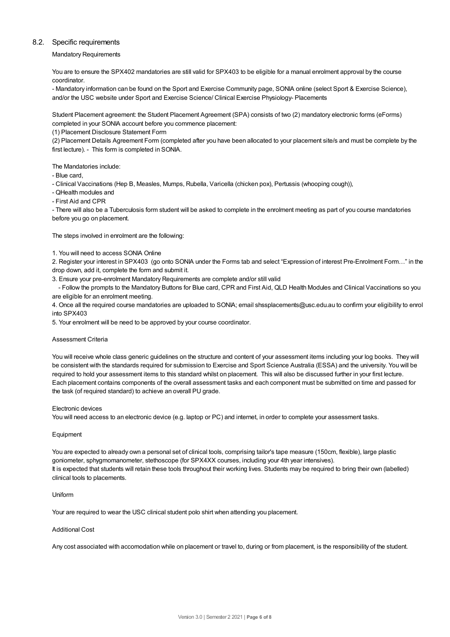## 8.2. Specific requirements

Mandatory Requirements

You are to ensure the SPX402 mandatories are still valid for SPX403 to be eligible for a manual enrolment approval by the course coordinator.

- Mandatory information can be found on the Sport and Exercise Community page, SONIA online (select Sport & Exercise Science), and/or the USC website under Sport and Exercise Science/ Clinical Exercise Physiology- Placements

Student Placement agreement: the Student Placement Agreement (SPA) consists of two (2) mandatory electronic forms (eForms) completed in your SONIA account before you commence placement:

(1) Placement Disclosure Statement Form

(2) Placement Details Agreement Form (completed after you have been allocated to your placement site/s and must be complete by the first lecture). - This form is completed in SONIA.

The Mandatories include:

- Blue card,

- Clinical Vaccinations (Hep B, Measles, Mumps, Rubella, Varicella (chicken pox), Pertussis (whooping cough)),

- QHealth modules and
- First Aid and CPR

- There will also be a Tuberculosis form student will be asked to complete in the enrolment meeting as part of you course mandatories before you go on placement.

The steps involved in enrolment are the following:

#### 1. You will need to access SONIA Online

2. Register your interest in SPX403 (go onto SONIA under the Forms tab and select "Expression of interest Pre-Enrolment Form…" in the drop down, add it, complete the form and submit it.

3. Ensure your pre-enrolment Mandatory Requirements are complete and/or still valid

- Follow the prompts to the Mandatory Buttons for Blue card, CPR and First Aid, QLD Health Modules and Clinical Vaccinations so you are eligible for an enrolment meeting.

4. Once all the required course mandatories are uploaded to SONIA; email shssplacements@usc.edu.au to confirm your eligibility to enrol into SPX403

5. Your enrolment will be need to be approved by your course coordinator.

#### Assessment Criteria

You will receive whole class generic guidelines on the structure and content of your assessment items including your log books. They will be consistent with the standards required for submission to Exercise and Sport Science Australia (ESSA) and the university. You will be required to hold your assessment items to this standard whilst on placement. This will also be discussed further in your first lecture. Each placement contains components of the overall assessment tasks and each component must be submitted on time and passed for the task (of required standard) to achieve an overall PU grade.

#### Electronic devices

You will need access to an electronic device (e.g. laptop or PC) and internet, in order to complete your assessment tasks.

#### Equipment

You are expected to already own a personal set of clinical tools, comprising tailor's tape measure (150cm, flexible), large plastic goniometer, sphygmomanometer, stethoscope (for SPX4XX courses, including your 4th year intensives). It is expected that students will retain these tools throughout their working lives. Students may be required to bring their own (labelled) clinical tools to placements.

#### Uniform

Your are required to wear the USC clinical student polo shirt when attending you placement.

#### Additional Cost

Any cost associated with accomodation while on placement or travel to, during or from placement, is the responsibility of the student.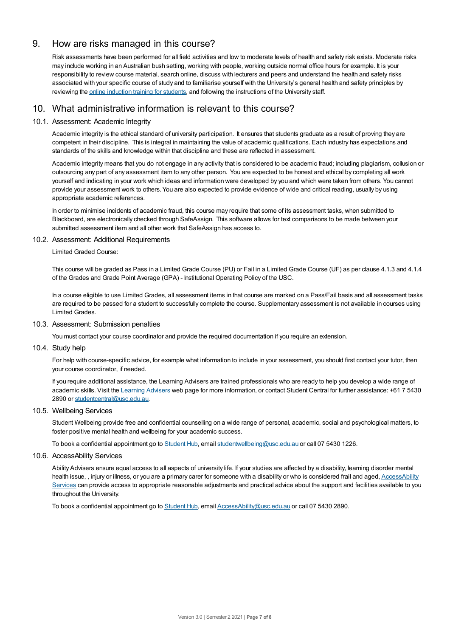# 9. How are risks managed in this course?

Risk assessments have been performed for all field activities and low to moderate levels of health and safety risk exists. Moderate risks may include working in an Australian bush setting, working with people, working outside normal office hours for example. It is your responsibility to review course material, search online, discuss with lecturers and peers and understand the health and safety risks associated with your specific course of study and to familiarise yourself with the University's general health and safety principles by reviewing the online [induction](https://online.usc.edu.au/webapps/blackboard/content/listContentEditable.jsp?content_id=_632657_1&course_id=_14432_1) training for students, and following the instructions of the University staff.

# 10. What administrative information is relevant to this course?

# 10.1. Assessment: Academic Integrity

Academic integrity is the ethical standard of university participation. It ensures that students graduate as a result of proving they are competent in their discipline. This is integral in maintaining the value of academic qualifications. Each industry has expectations and standards of the skills and knowledge within that discipline and these are reflected in assessment.

Academic integrity means that you do not engage in any activity that is considered to be academic fraud; including plagiarism, collusion or outsourcing any part of any assessment item to any other person. You are expected to be honest and ethical by completing all work yourself and indicating in your work which ideas and information were developed by you and which were taken from others. You cannot provide your assessment work to others.You are also expected to provide evidence of wide and critical reading, usually by using appropriate academic references.

In order to minimise incidents of academic fraud, this course may require that some of its assessment tasks, when submitted to Blackboard, are electronically checked through SafeAssign. This software allows for text comparisons to be made between your submitted assessment item and all other work that SafeAssign has access to.

## 10.2. Assessment: Additional Requirements

Limited Graded Course:

This course will be graded as Pass in a Limited Grade Course (PU) or Fail in a Limited Grade Course (UF) as per clause 4.1.3 and 4.1.4 of the Grades and Grade Point Average (GPA) - Institutional Operating Policy of the USC.

In a course eligible to use Limited Grades, all assessment items in that course are marked on a Pass/Fail basis and all assessment tasks are required to be passed for a student to successfully complete the course. Supplementary assessment is not available in courses using Limited Grades.

## 10.3. Assessment: Submission penalties

You must contact your course coordinator and provide the required documentation if you require an extension.

10.4. Study help

For help with course-specific advice, for example what information to include in your assessment, you should first contact your tutor, then your course coordinator, if needed.

If you require additional assistance, the Learning Advisers are trained professionals who are ready to help you develop a wide range of academic skills. Visit the Learning [Advisers](https://www.usc.edu.au/current-students/student-support/academic-and-study-support/learning-advisers) web page for more information, or contact Student Central for further assistance: +61 7 5430 2890 or [studentcentral@usc.edu.au](mailto:studentcentral@usc.edu.au).

# 10.5. Wellbeing Services

Student Wellbeing provide free and confidential counselling on a wide range of personal, academic, social and psychological matters, to foster positive mental health and wellbeing for your academic success.

To book a confidential appointment go to [Student](https://studenthub.usc.edu.au/) Hub, email [studentwellbeing@usc.edu.au](mailto:studentwellbeing@usc.edu.au) or call 07 5430 1226.

## 10.6. AccessAbility Services

Ability Advisers ensure equal access to all aspects of university life. If your studies are affected by a disability, learning disorder mental health issue, , injury or illness, or you are a primary carer for someone with a disability or who is considered frail and aged, [AccessAbility](https://www.usc.edu.au/learn/student-support/accessability-services/documentation-requirements) Services can provide access to appropriate reasonable adjustments and practical advice about the support and facilities available to you throughout the University.

To book a confidential appointment go to [Student](https://studenthub.usc.edu.au/) Hub, email [AccessAbility@usc.edu.au](mailto:AccessAbility@usc.edu.au) or call 07 5430 2890.